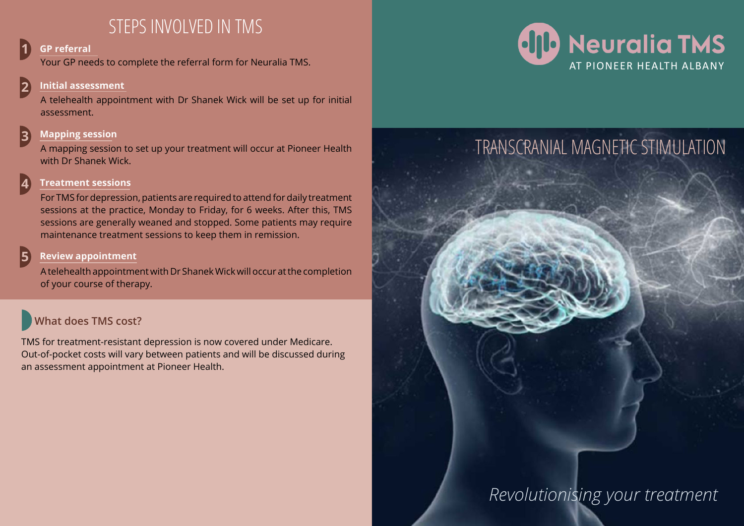# STEPS INVOLVED IN TMS

### **1 GP referral**

Your GP needs to complete the referral form for Neuralia TMS.

### **2 Initial assessment**

A telehealth appointment with Dr Shanek Wick will be set up for initial assessment.

# **3 Mapping session**

A mapping session to set up your treatment will occur at Pioneer Health with Dr Shanek Wick.

### **4 Treatment sessions**

For TMS for depression, patients are required to attend for daily treatment sessions at the practice, Monday to Friday, for 6 weeks. After this, TMS sessions are generally weaned and stopped. Some patients may require maintenance treatment sessions to keep them in remission.

### **5 Review appointment**

A telehealth appointment with Dr Shanek Wick will occur at the completion of your course of therapy.

# **What does TMS cost?**

TMS for treatment-resistant depression is now covered under Medicare. Out-of-pocket costs will vary between patients and will be discussed during an assessment appointment at Pioneer Health.





# *Revolutionising your treatment*